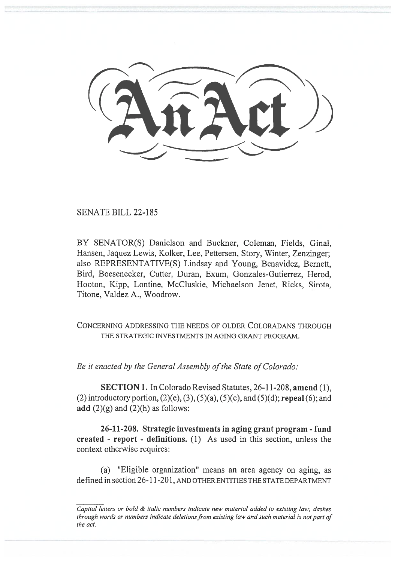$\longrightarrow$ 

SENATE BILL 22-185

BY SENATOR(S) Danielson and Buckner, Coleman, Fields, Ginal, Hansen, Jaquez Lewis, Kolker, Lee, Pettersen, Story, Winter, Zenzinger; also REPRESENTATIVE(S) Lindsay and Young, Benavidez, Bernett, Bird, Boesenecker, Cutter, Duran, Exum, Gonzales-Gutierrez, Herod, Hooton, Kipp, Lontine, McCluskie, Michaelson Jenet, Ricks, Sirota, Titone, Valdez A., Woodrow.

CONCERNING ADDRESSING THE NEEDS OF OLDER COLORADANS THROUGH THE STRATEGIC INVESTMENTS IN AGING GRANT PROGRAM.

Be it enacted by the General Assembly of the State of Colorado:

SECTION 1. In Colorado Revised Statutes, 26-11-208, amend (1), (2) introductory portion,  $(2)(e)$ ,  $(3)$ ,  $(5)(a)$ ,  $(5)(c)$ , and  $(5)(d)$ ; repeal  $(6)$ ; and add  $(2)(g)$  and  $(2)(h)$  as follows:

26-11-208. Strategic investments in aging grant program - fund created - report - definitions. (1) As used in this section, unless the context otherwise requires:

(a) "Eligible organization" means an area agency on aging, as defined in section 26-11-201, AND OTHER ENTITIES THE STATE DEPARTMENT

Capital letters or bold & italic numbers indicate new material added to existing law; dashes through words or numbers indicate deletions from existing law and such material is not part of the act.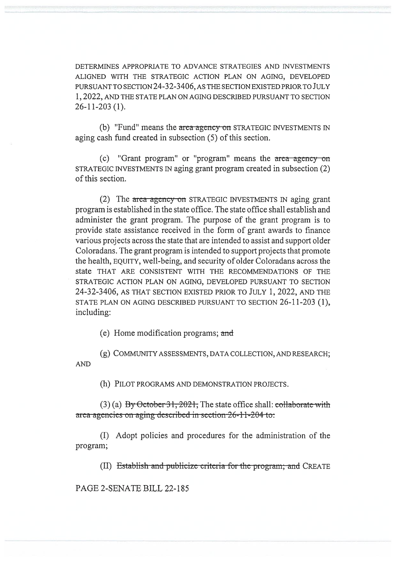DETERMINES APPROPRIATE TO ADVANCE STRATEGIES AND INVESTMENTS ALIGNED WITH THE STRATEGIC ACTION PLAN ON AGING, DEVELOPED PURSUANT TO SECTION 24-32-3406, AS THE SECTION EXISTED PRIOR TO JULY 1, 2022, AND THE STATE PLAN ON AGING DESCRIBED PURSUANT TO SECTION 26-11-203 (1).

(b) "Fund" means the area agency on STRATEGIC INVESTMENTS IN aging cash fund created in subsection (5) of this section.

(c) "Grant program" or "program" means the area agcncy on STRATEGIC INVESTMENTS IN aging grant program created in subsection (2) of this section.

(2) The area agency on STRATEGIC INVESTMENTS IN aging grant program is established in the state office. The state office shall establish and administer the grant program. The purpose of the grant program is to provide state assistance received in the form of grant awards to finance various projects across the state that are intended to assist and support older Coloradans. The grant program is intended to support projects that promote the health, EQUITY, well-being, and security of older Coloradans across the state THAT ARE CONSISTENT WITH THE RECOMMENDATIONS OF THE STRATEGIC ACTION PLAN ON AGING, DEVELOPED PURSUANT TO SECTION 24-32-3406, AS THAT SECTION EXISTED PRIOR TO JULY 1, 2022, AND THE STATE PLAN ON AGING DESCRIBED PURSUANT TO SECTION 26-11-203 (1), including:

(e) Home modification programs; and

(g) COMMUNITY ASSESSMENTS, DATA COLLECTION, AND RESEARCH; AND

(h) PILOT PROGRAMS AND DEMONSTRATION PROJECTS.

 $(3)$  (a) By October 31, 2021; The state office shall: collaborate with area-agencies on aging described in section 26-11-204 to:

(I) Adopt policies and procedures for the administration of the program;

(II) Establish and publicize criteria for the program; and CREATE

PAGE 2-SENATE BILL 22-185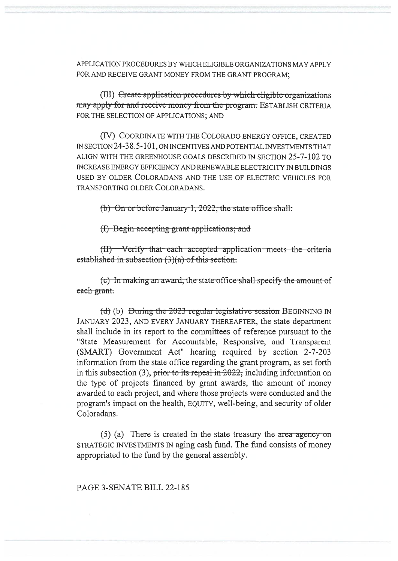APPLICATION PROCEDURES BY WHICH ELIGIBLE ORGANIZATIONS MAY APPI Y FOR AND RECEIVE GRANT MONEY FROM THE GRANT PROGRAM;

(III) Create application procedures by which eligible organizations may apply for and receive money from the program. ESTABLISH CRITERIA FOR THE SELECTION OF APPLICATIONS; AND

(IV) COORDINATE WITH THE COLORADO ENERGY OFFICE, CREATED IN SECTION 24-38.5-101, ON INCENTIVES AND POTENTIAL INVESTMENTS THAT ALIGN WITH THE GREENHOUSE GOALS DESCRIBED IN SECTION 25-7-102 TO INCREASE ENERGY EFFICIENCY AND RENEWABLE ELECTRICITY IN BUILDINGS USED BY OLDER COLORADANS AND THE USE OF ELECTRIC VEHICLES FOR TRANSPORTING OLDER COLORADANS.

(b) On or before January 1, 2022, the state office shall:

(I) Begin accepting grant applications; and

(II) Verify that each accepted application meets the criteria established in subsection  $(3)(a)$  of this section.

(c) In making an award, the state office shall specify the amount of each grant.

(d) (b) During the  $2023$  regular legislative session BEGINNING IN JANUARY 2023, AND EVERY JANUARY THEREAFTER, the state department shall include in its report to the committees of reference pursuant to the "State Measurement for Accountable, Responsive, and Transparent (SMART) Government Act" hearing required by section 2-7-203 information from the state office regarding the grant program, as set forth in this subsection (3), prior to its repeal in  $2022$ ; including information on the type of projects financed by grant awards, the amount of money awarded to each project, and where those projects were conducted and the program's impact on the health, EQUITY, well-being, and security of older Coloradans.

 $(5)$  (a) There is created in the state treasury the area agency on STRATEGIC INVESTMENTS IN aging cash fund. The fund consists of money appropriated to the fund by the general assembly.

PAGE 3-SENATE BILL 22-185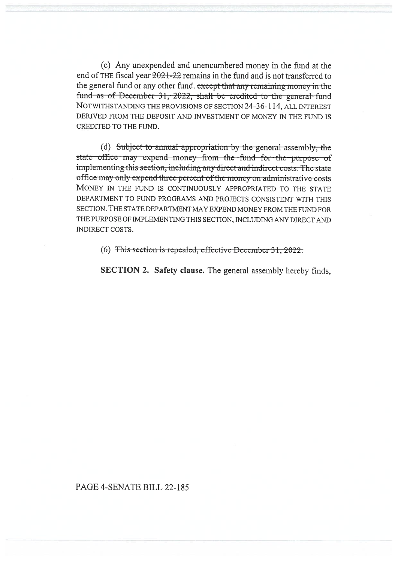(c) Any unexpended and unencumbered money in the fund at the end of THE fiscal year  $2021-22$  remains in the fund and is not transferred to the general fund or any other fund. except that any remaining money in the fund as of December 31, 2022, shall be credited to the general fund NOTWITHSTANDING THE PROVISIONS OF SECTION 24-36-114, ALL INTEREST DERIVED FROM THE DEPOSIT AND INVESTMENT OF MONEY IN THE FUND IS CREDITED TO THE FUND.

(d) Subject to annual appropriation by the general assembly, the state office may expend money from the fund for the purpose of implementing this section, including any direct and indirect costs. The state office may only expend three percent of the money on administrative costs MONEY IN THE FUND IS CONTINUOUSLY APPROPRIATED TO THE STATE DEPARTMENT TO FUND PROGRAMS AND PROJECTS CONSISTENT WITH THIS SECTION. THE STATE DEPARTMENT MAY EXPEND MONEY FROM THE FUND FOR THE PURPOSE OF IMPLEMENTING THIS SECTION, INCLUDING ANY DIRECT AND INDIRECT COSTS.

(6) This section is repealed, effective December 31, 2022.

SECTION 2. Safety clause. The general assembly hereby finds,

## PAGE 4-SENATE BILL 22-185